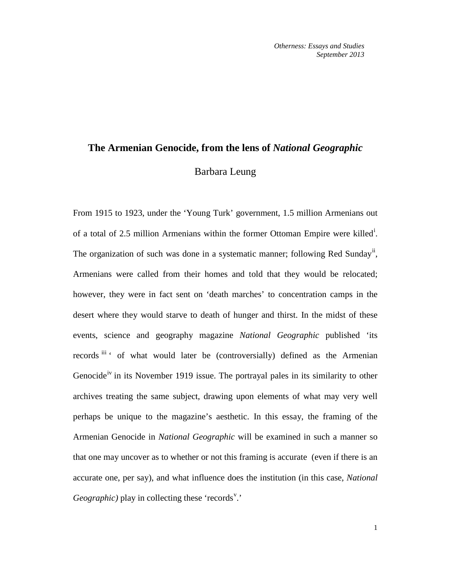## **The Armenian Genocide, from the lens of** *National Geographic* Barbara Leung

From 1915 to 1923, under the 'Young Turk' government, 1.5 million Armenians out of a total of 2.5 m[i](#page-19-0)llion Armenians within the former Ottoman Empire were killed<sup>i</sup>. The organization of such was done in a systematic manner; following Red Sunday<sup>[ii](#page-19-1)</sup>, Armenians were called from their homes and told that they would be relocated; however, they were in fact sent on 'death marches' to concentration camps in the desert where they would starve to death of hunger and thirst. In the midst of these events, science and geography magazine *National Geographic* published 'its records [iii](#page-19-2) ' of what would later be (controversially) defined as the Armenian Genocide<sup>[iv](#page-19-3)</sup> in its November 1919 issue. The portrayal pales in its similarity to other archives treating the same subject, drawing upon elements of what may very well perhaps be unique to the magazine's aesthetic. In this essay, the framing of the Armenian Genocide in *National Geographic* will be examined in such a manner so that one may uncover as to whether or not this framing is accurate (even if there is an accurate one, per say), and what influence does the institution (in this case, *National*  Geographic) play in collecting these 'records".'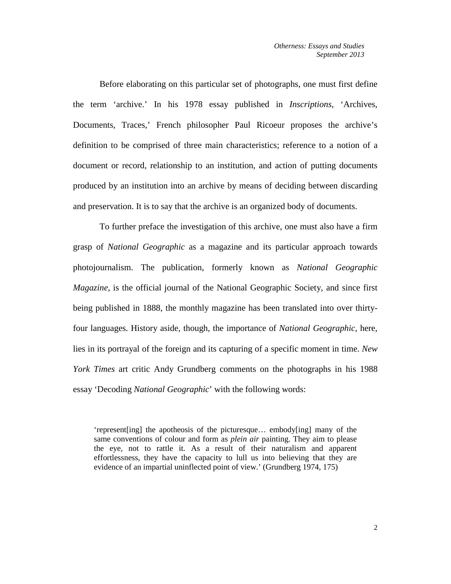Before elaborating on this particular set of photographs, one must first define the term 'archive.' In his 1978 essay published in *Inscriptions*, 'Archives, Documents, Traces,' French philosopher Paul Ricoeur proposes the archive's definition to be comprised of three main characteristics; reference to a notion of a document or record, relationship to an institution, and action of putting documents produced by an institution into an archive by means of deciding between discarding and preservation. It is to say that the archive is an organized body of documents.

To further preface the investigation of this archive, one must also have a firm grasp of *National Geographic* as a magazine and its particular approach towards photojournalism. The publication, formerly known as *National Geographic Magazine*, is the official journal of the National Geographic Society, and since first being published in 1888, the monthly magazine has been translated into over thirtyfour languages. History aside, though, the importance of *National Geographic*, here, lies in its portrayal of the foreign and its capturing of a specific moment in time. *New York Times* art critic Andy Grundberg comments on the photographs in his 1988 essay 'Decoding *National Geographic*' with the following words:

'represent[ing] the apotheosis of the picturesque… embody[ing] many of the same conventions of colour and form as *plein air* painting. They aim to please the eye, not to rattle it. As a result of their naturalism and apparent effortlessness, they have the capacity to lull us into believing that they are evidence of an impartial uninflected point of view.' (Grundberg 1974, 175)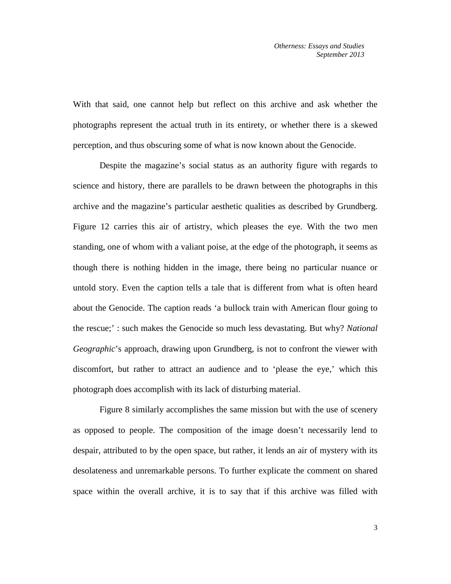With that said, one cannot help but reflect on this archive and ask whether the photographs represent the actual truth in its entirety, or whether there is a skewed perception, and thus obscuring some of what is now known about the Genocide.

Despite the magazine's social status as an authority figure with regards to science and history, there are parallels to be drawn between the photographs in this archive and the magazine's particular aesthetic qualities as described by Grundberg. Figure 12 carries this air of artistry, which pleases the eye. With the two men standing, one of whom with a valiant poise, at the edge of the photograph, it seems as though there is nothing hidden in the image, there being no particular nuance or untold story. Even the caption tells a tale that is different from what is often heard about the Genocide. The caption reads 'a bullock train with American flour going to the rescue;' : such makes the Genocide so much less devastating. But why? *National Geographic*'s approach, drawing upon Grundberg, is not to confront the viewer with discomfort, but rather to attract an audience and to 'please the eye,' which this photograph does accomplish with its lack of disturbing material.

Figure 8 similarly accomplishes the same mission but with the use of scenery as opposed to people. The composition of the image doesn't necessarily lend to despair, attributed to by the open space, but rather, it lends an air of mystery with its desolateness and unremarkable persons. To further explicate the comment on shared space within the overall archive, it is to say that if this archive was filled with

3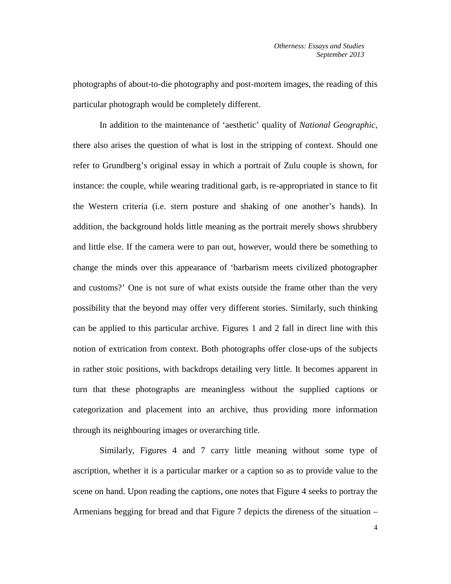photographs of about-to-die photography and post-mortem images, the reading of this particular photograph would be completely different.

In addition to the maintenance of 'aesthetic' quality of *National Geographic*, there also arises the question of what is lost in the stripping of context. Should one refer to Grundberg's original essay in which a portrait of Zulu couple is shown, for instance: the couple, while wearing traditional garb, is re-appropriated in stance to fit the Western criteria (i.e. stern posture and shaking of one another's hands). In addition, the background holds little meaning as the portrait merely shows shrubbery and little else. If the camera were to pan out, however, would there be something to change the minds over this appearance of 'barbarism meets civilized photographer and customs?' One is not sure of what exists outside the frame other than the very possibility that the beyond may offer very different stories. Similarly, such thinking can be applied to this particular archive. Figures 1 and 2 fall in direct line with this notion of extrication from context. Both photographs offer close-ups of the subjects in rather stoic positions, with backdrops detailing very little. It becomes apparent in turn that these photographs are meaningless without the supplied captions or categorization and placement into an archive, thus providing more information through its neighbouring images or overarching title.

Similarly, Figures 4 and 7 carry little meaning without some type of ascription, whether it is a particular marker or a caption so as to provide value to the scene on hand. Upon reading the captions, one notes that Figure 4 seeks to portray the Armenians begging for bread and that Figure 7 depicts the direness of the situation –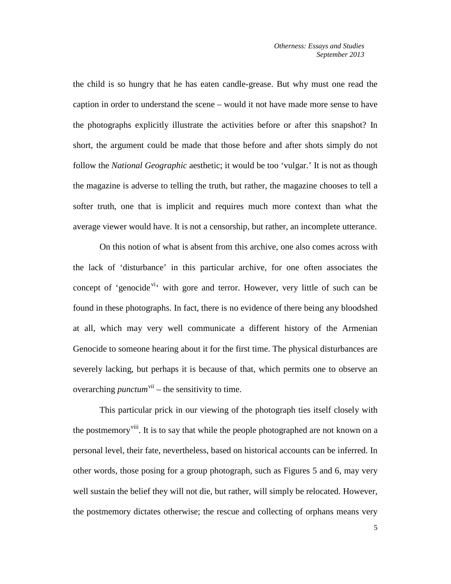the child is so hungry that he has eaten candle-grease. But why must one read the caption in order to understand the scene – would it not have made more sense to have the photographs explicitly illustrate the activities before or after this snapshot? In short, the argument could be made that those before and after shots simply do not follow the *National Geographic* aesthetic; it would be too 'vulgar.' It is not as though the magazine is adverse to telling the truth, but rather, the magazine chooses to tell a softer truth, one that is implicit and requires much more context than what the average viewer would have. It is not a censorship, but rather, an incomplete utterance.

On this notion of what is absent from this archive, one also comes across with the lack of 'disturbance' in this particular archive, for one often associates the concept of 'genocide<sup>[vi](#page-20-0)</sup>' with gore and terror. However, very little of such can be found in these photographs. In fact, there is no evidence of there being any bloodshed at all, which may very well communicate a different history of the Armenian Genocide to someone hearing about it for the first time. The physical disturbances are severely lacking, but perhaps it is because of that, which permits one to observe an overarching *punctum[vii](#page-20-1)* – the sensitivity to time.

This particular prick in our viewing of the photograph ties itself closely with the postmemory<sup>[viii](#page-20-2)</sup>. It is to say that while the people photographed are not known on a personal level, their fate, nevertheless, based on historical accounts can be inferred. In other words, those posing for a group photograph, such as Figures 5 and 6, may very well sustain the belief they will not die, but rather, will simply be relocated. However, the postmemory dictates otherwise; the rescue and collecting of orphans means very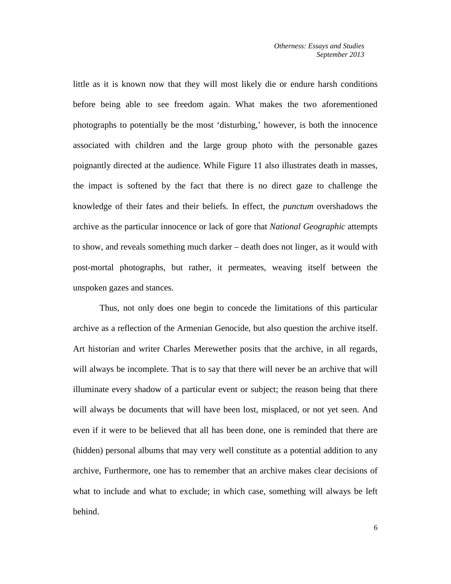little as it is known now that they will most likely die or endure harsh conditions before being able to see freedom again. What makes the two aforementioned photographs to potentially be the most 'disturbing,' however, is both the innocence associated with children and the large group photo with the personable gazes poignantly directed at the audience. While Figure 11 also illustrates death in masses, the impact is softened by the fact that there is no direct gaze to challenge the knowledge of their fates and their beliefs. In effect, the *punctum* overshadows the archive as the particular innocence or lack of gore that *National Geographic* attempts to show, and reveals something much darker – death does not linger, as it would with post-mortal photographs, but rather, it permeates, weaving itself between the unspoken gazes and stances.

Thus, not only does one begin to concede the limitations of this particular archive as a reflection of the Armenian Genocide, but also question the archive itself. Art historian and writer Charles Merewether posits that the archive, in all regards, will always be incomplete. That is to say that there will never be an archive that will illuminate every shadow of a particular event or subject; the reason being that there will always be documents that will have been lost, misplaced, or not yet seen. And even if it were to be believed that all has been done, one is reminded that there are (hidden) personal albums that may very well constitute as a potential addition to any archive, Furthermore, one has to remember that an archive makes clear decisions of what to include and what to exclude; in which case, something will always be left behind.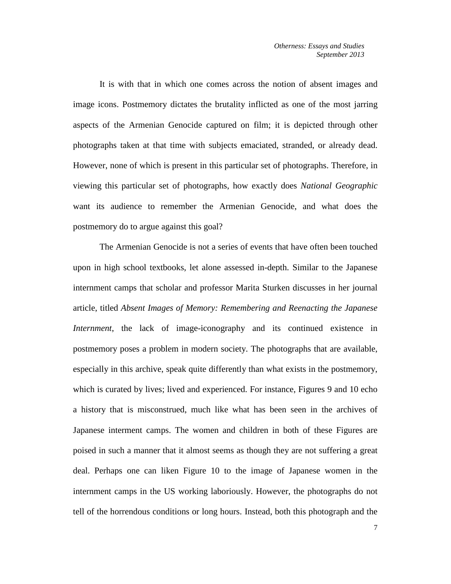It is with that in which one comes across the notion of absent images and image icons. Postmemory dictates the brutality inflicted as one of the most jarring aspects of the Armenian Genocide captured on film; it is depicted through other photographs taken at that time with subjects emaciated, stranded, or already dead. However, none of which is present in this particular set of photographs. Therefore, in viewing this particular set of photographs, how exactly does *National Geographic* want its audience to remember the Armenian Genocide, and what does the postmemory do to argue against this goal?

The Armenian Genocide is not a series of events that have often been touched upon in high school textbooks, let alone assessed in-depth. Similar to the Japanese internment camps that scholar and professor Marita Sturken discusses in her journal article, titled *Absent Images of Memory: Remembering and Reenacting the Japanese Internment*, the lack of image-iconography and its continued existence in postmemory poses a problem in modern society. The photographs that are available, especially in this archive, speak quite differently than what exists in the postmemory, which is curated by lives; lived and experienced. For instance, Figures 9 and 10 echo a history that is misconstrued, much like what has been seen in the archives of Japanese interment camps. The women and children in both of these Figures are poised in such a manner that it almost seems as though they are not suffering a great deal. Perhaps one can liken Figure 10 to the image of Japanese women in the internment camps in the US working laboriously. However, the photographs do not tell of the horrendous conditions or long hours. Instead, both this photograph and the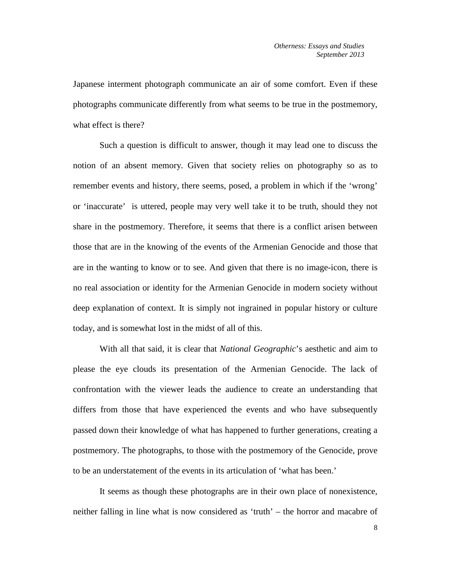Japanese interment photograph communicate an air of some comfort. Even if these photographs communicate differently from what seems to be true in the postmemory, what effect is there?

Such a question is difficult to answer, though it may lead one to discuss the notion of an absent memory. Given that society relies on photography so as to remember events and history, there seems, posed, a problem in which if the 'wrong' or 'inaccurate' is uttered, people may very well take it to be truth, should they not share in the postmemory. Therefore, it seems that there is a conflict arisen between those that are in the knowing of the events of the Armenian Genocide and those that are in the wanting to know or to see. And given that there is no image-icon, there is no real association or identity for the Armenian Genocide in modern society without deep explanation of context. It is simply not ingrained in popular history or culture today, and is somewhat lost in the midst of all of this.

With all that said, it is clear that *National Geographic*'s aesthetic and aim to please the eye clouds its presentation of the Armenian Genocide. The lack of confrontation with the viewer leads the audience to create an understanding that differs from those that have experienced the events and who have subsequently passed down their knowledge of what has happened to further generations, creating a postmemory. The photographs, to those with the postmemory of the Genocide, prove to be an understatement of the events in its articulation of 'what has been.'

It seems as though these photographs are in their own place of nonexistence, neither falling in line what is now considered as 'truth' – the horror and macabre of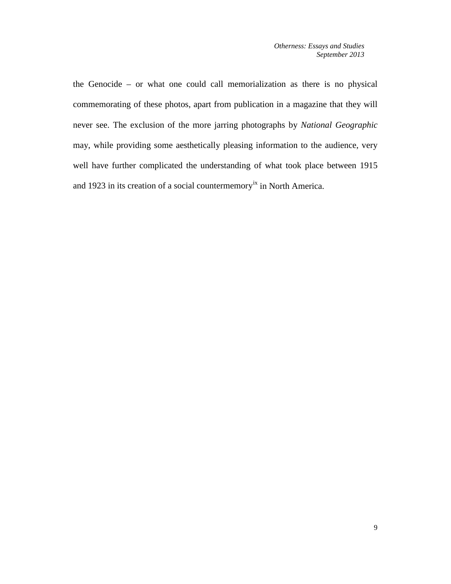the Genocide – or what one could call memorialization as there is no physical commemorating of these photos, apart from publication in a magazine that they will never see. The exclusion of the more jarring photographs by *National Geographic* may, while providing some aesthetically pleasing information to the audience, very well have further complicated the understanding of what took place between 1915 and 1923 in its creation of a social countermemory<sup>[ix](#page-20-3)</sup> in North America.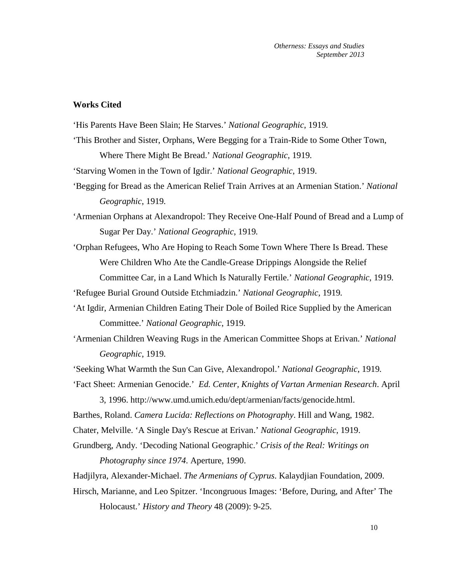## **Works Cited**

'His Parents Have Been Slain; He Starves.' *National Geographic*, 1919*.*

'This Brother and Sister, Orphans, Were Begging for a Train-Ride to Some Other Town, Where There Might Be Bread.' *National Geographic*, 1919*.*

'Starving Women in the Town of Igdir.' *National Geographic*, 1919.

'Begging for Bread as the American Relief Train Arrives at an Armenian Station.' *National Geographic*, 1919*.*

'Armenian Orphans at Alexandropol: They Receive One-Half Pound of Bread and a Lump of Sugar Per Day.' *National Geographic*, 1919*.*

'Orphan Refugees, Who Are Hoping to Reach Some Town Where There Is Bread. These Were Children Who Ate the Candle-Grease Drippings Alongside the Relief Committee Car, in a Land Which Is Naturally Fertile.' *National Geographic*, 1919*.*

'Refugee Burial Ground Outside Etchmiadzin.' *National Geographic*, 1919*.*

- 'At Igdir, Armenian Children Eating Their Dole of Boiled Rice Supplied by the American Committee.' *National Geographic*, 1919*.*
- 'Armenian Children Weaving Rugs in the American Committee Shops at Erivan.' *National Geographic*, 1919*.*

'Seeking What Warmth the Sun Can Give, Alexandropol.' *National Geographic*, 1919*.*

'Fact Sheet: Armenian Genocide.' *Ed. Center, Knights of Vartan Armenian Research*. April 3, 1996. http://www.umd.umich.edu/dept/armenian/facts/genocide.html.

Barthes, Roland. *Camera Lucida: Reflections on Photography*. Hill and Wang, 1982.

Chater, Melville. 'A Single Day's Rescue at Erivan.' *National Geographic*, 1919.

Grundberg, Andy. 'Decoding National Geographic.' *Crisis of the Real: Writings on Photography since 1974*. Aperture, 1990.

Hadjilyra, Alexander-Michael. *The Armenians of Cyprus*. Kalaydjian Foundation, 2009.

Hirsch, Marianne, and Leo Spitzer. 'Incongruous Images: 'Before, During, and After' The Holocaust.' *History and Theory* 48 (2009): 9-25.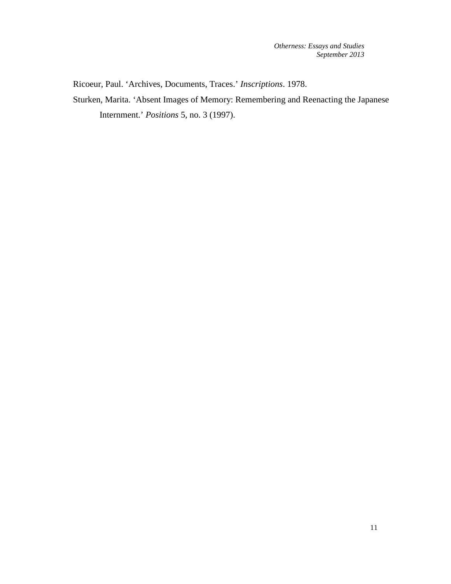Ricoeur, Paul. 'Archives, Documents, Traces.' *Inscriptions*. 1978.

Sturken, Marita. 'Absent Images of Memory: Remembering and Reenacting the Japanese Internment.' *Positions* 5, no. 3 (1997).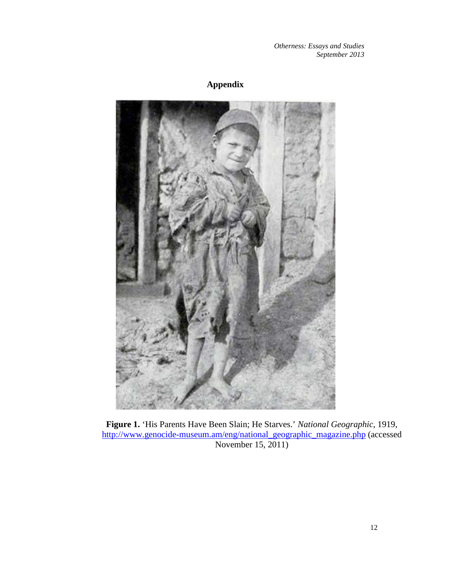## **Appendix**



**Figure 1.** 'His Parents Have Been Slain; He Starves.' *National Geographic*, 1919*,*  [http://www.genocide-museum.am/eng/national\\_geographic\\_magazine.php](http://www.genocide-museum.am/eng/national_geographic_magazine.php) (accessed November 15, 2011)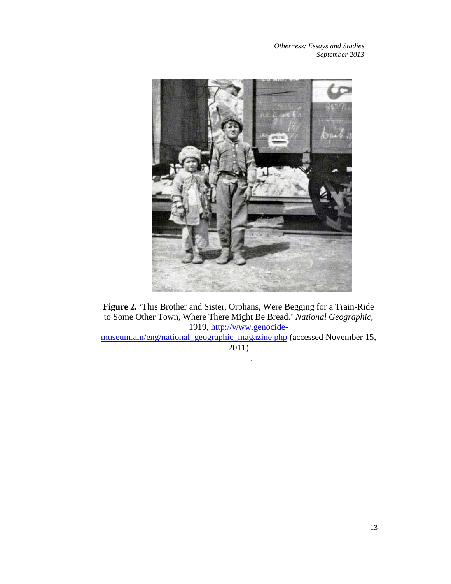

**Figure 2.** 'This Brother and Sister, Orphans, Were Begging for a Train-Ride to Some Other Town, Where There Might Be Bread.' *National Geographic*, 1919*,* [http://www.genocide-](http://www.genocide-museum.am/eng/national_geographic_magazine.php)

[museum.am/eng/national\\_geographic\\_magazine.php](http://www.genocide-museum.am/eng/national_geographic_magazine.php) (accessed November 15, 2011)

.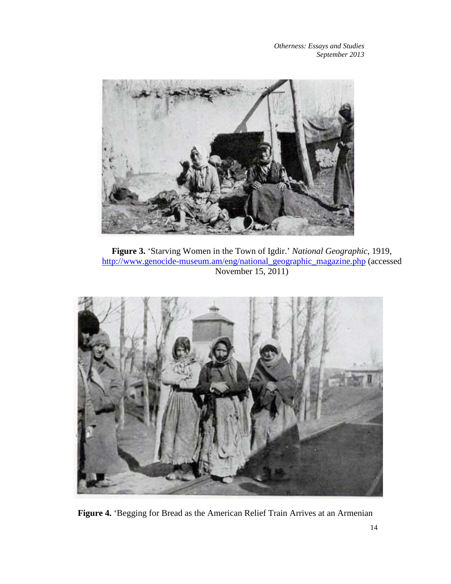

**Figure 3.** 'Starving Women in the Town of Igdir.' *National Geographic*, 1919*,*  [http://www.genocide-museum.am/eng/national\\_geographic\\_magazine.php](http://www.genocide-museum.am/eng/national_geographic_magazine.php) (accessed November 15, 2011)



**Figure 4.** 'Begging for Bread as the American Relief Train Arrives at an Armenian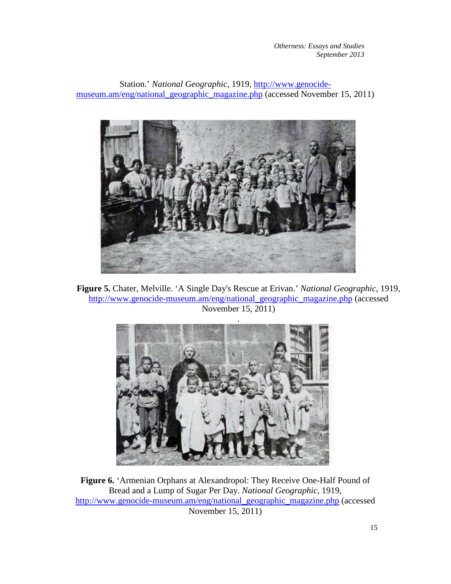Station.' *National Geographic*, 1919*,* [http://www.genocide](http://www.genocide-museum.am/eng/national_geographic_magazine.php)[museum.am/eng/national\\_geographic\\_magazine.php](http://www.genocide-museum.am/eng/national_geographic_magazine.php) (accessed November 15, 2011)



**Figure 5.** Chater, Melville. 'A Single Day's Rescue at Erivan.' *National Geographic*, 1919*,*  [http://www.genocide-museum.am/eng/national\\_geographic\\_magazine.php](http://www.genocide-museum.am/eng/national_geographic_magazine.php) (accessed November 15, 2011)



**Figure 6.** 'Armenian Orphans at Alexandropol: They Receive One-Half Pound of Bread and a Lump of Sugar Per Day. *National Geographic*, 1919*,*  [http://www.genocide-museum.am/eng/national\\_geographic\\_magazine.php](http://www.genocide-museum.am/eng/national_geographic_magazine.php) (accessed November 15, 2011)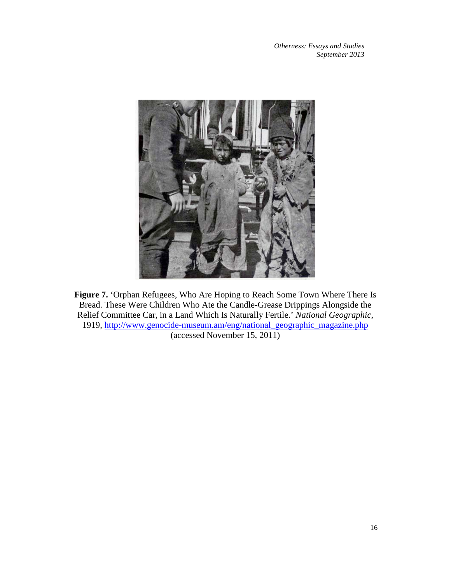

**Figure 7.** 'Orphan Refugees, Who Are Hoping to Reach Some Town Where There Is Bread. These Were Children Who Ate the Candle-Grease Drippings Alongside the Relief Committee Car, in a Land Which Is Naturally Fertile.' *National Geographic*, 1919*,* [http://www.genocide-museum.am/eng/national\\_geographic\\_magazine.php](http://www.genocide-museum.am/eng/national_geographic_magazine.php)

(accessed November 15, 2011)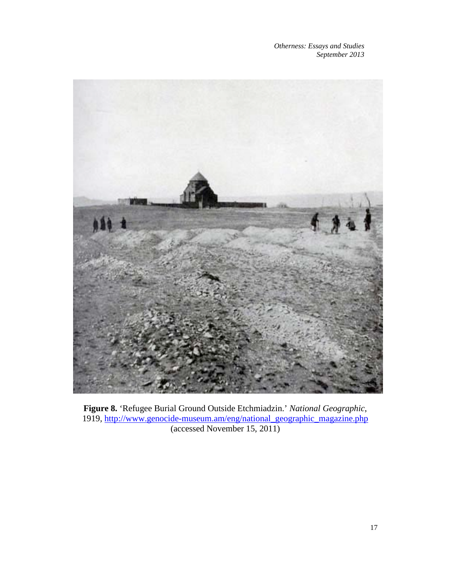

**Figure 8.** 'Refugee Burial Ground Outside Etchmiadzin.' *National Geographic*, 1919*,* [http://www.genocide-museum.am/eng/national\\_geographic\\_magazine.php](http://www.genocide-museum.am/eng/national_geographic_magazine.php) (accessed November 15, 2011)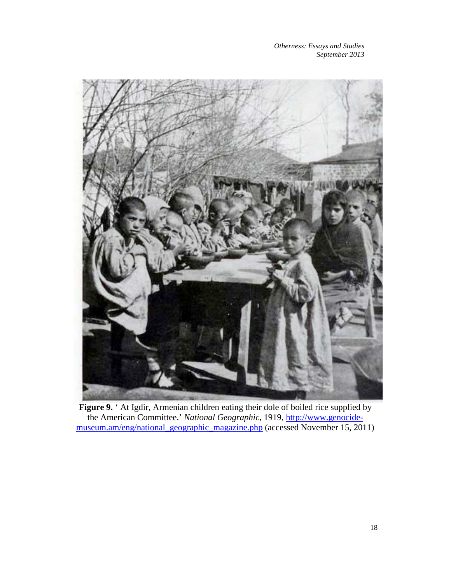

Figure 9. <sup>*'*</sup> At Igdir, Armenian children eating their dole of boiled rice supplied by the American Committee.' *National Geographic*, 1919*,* [http://www.genocide](http://www.genocide-museum.am/eng/national_geographic_magazine.php)[museum.am/eng/national\\_geographic\\_magazine.php](http://www.genocide-museum.am/eng/national_geographic_magazine.php) (accessed November 15, 2011)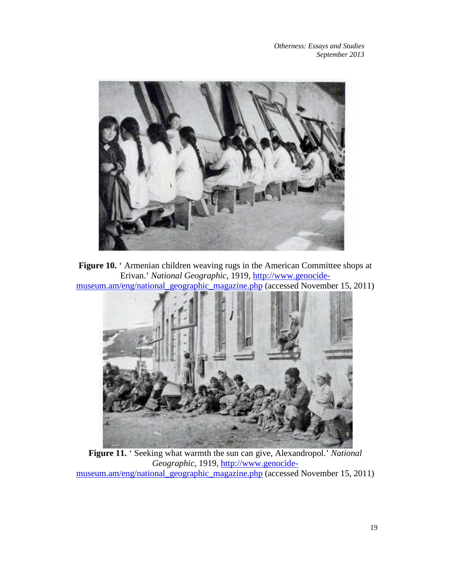

**Figure 10.** 'Armenian children weaving rugs in the American Committee shops at Erivan.' *National Geographic*, 1919*,* [http://www.genocide](http://www.genocide-museum.am/eng/national_geographic_magazine.php)[museum.am/eng/national\\_geographic\\_magazine.php](http://www.genocide-museum.am/eng/national_geographic_magazine.php) (accessed November 15, 2011)



**Figure 11.** ' Seeking what warmth the sun can give, Alexandropol.' *National Geographic*, 1919*,* [http://www.genocide](http://www.genocide-museum.am/eng/national_geographic_magazine.php)[museum.am/eng/national\\_geographic\\_magazine.php](http://www.genocide-museum.am/eng/national_geographic_magazine.php) (accessed November 15, 2011)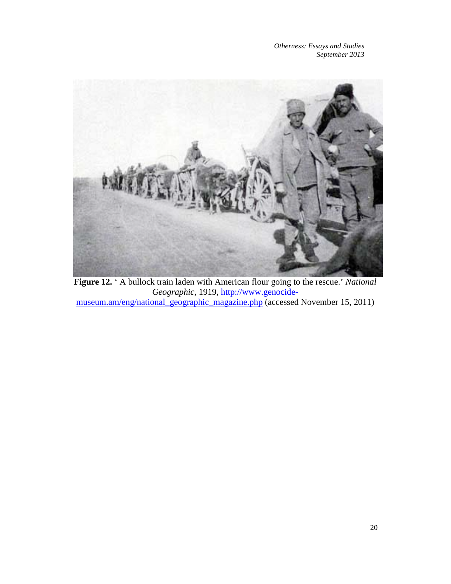<span id="page-19-4"></span><span id="page-19-3"></span><span id="page-19-2"></span><span id="page-19-1"></span><span id="page-19-0"></span>

**Figure 12.** ' A bullock train laden with American flour going to the rescue.' *National Geographic*, 1919*,* [http://www.genocide](http://www.genocide-museum.am/eng/national_geographic_magazine.php)[museum.am/eng/national\\_geographic\\_magazine.php](http://www.genocide-museum.am/eng/national_geographic_magazine.php) (accessed November 15, 2011)